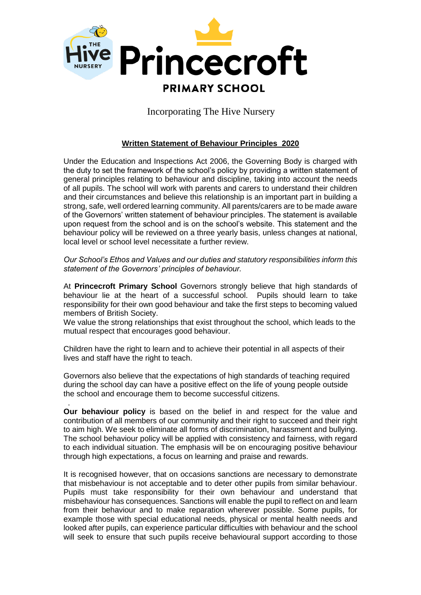

Incorporating The Hive Nursery

## **Written Statement of Behaviour Principles 2020**

Under the Education and Inspections Act 2006, the Governing Body is charged with the duty to set the framework of the school's policy by providing a written statement of general principles relating to behaviour and discipline, taking into account the needs of all pupils. The school will work with parents and carers to understand their children and their circumstances and believe this relationship is an important part in building a strong, safe, well ordered learning community. All parents/carers are to be made aware of the Governors' written statement of behaviour principles. The statement is available upon request from the school and is on the school's website. This statement and the behaviour policy will be reviewed on a three yearly basis, unless changes at national, local level or school level necessitate a further review.

*Our School's Ethos and Values and our duties and statutory responsibilities inform this statement of the Governors' principles of behaviour.* 

At **Princecroft Primary School** Governors strongly believe that high standards of behaviour lie at the heart of a successful school. Pupils should learn to take responsibility for their own good behaviour and take the first steps to becoming valued members of British Society.

We value the strong relationships that exist throughout the school, which leads to the mutual respect that encourages good behaviour.

Children have the right to learn and to achieve their potential in all aspects of their lives and staff have the right to teach.

Governors also believe that the expectations of high standards of teaching required during the school day can have a positive effect on the life of young people outside the school and encourage them to become successful citizens.

.

**Our behaviour policy** is based on the belief in and respect for the value and contribution of all members of our community and their right to succeed and their right to aim high. We seek to eliminate all forms of discrimination, harassment and bullying. The school behaviour policy will be applied with consistency and fairness, with regard to each individual situation. The emphasis will be on encouraging positive behaviour through high expectations, a focus on learning and praise and rewards.

It is recognised however, that on occasions sanctions are necessary to demonstrate that misbehaviour is not acceptable and to deter other pupils from similar behaviour. Pupils must take responsibility for their own behaviour and understand that misbehaviour has consequences. Sanctions will enable the pupil to reflect on and learn from their behaviour and to make reparation wherever possible. Some pupils, for example those with special educational needs, physical or mental health needs and looked after pupils, can experience particular difficulties with behaviour and the school will seek to ensure that such pupils receive behavioural support according to those